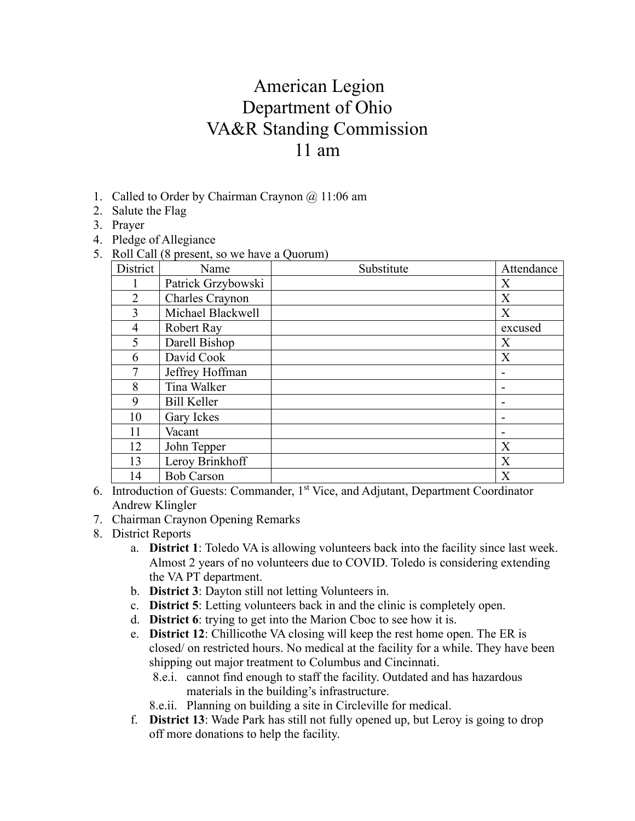## American Legion Department of Ohio VA&R Standing Commission 11 am

- 1. Called to Order by Chairman Craynon @ 11:06 am
- 2. Salute the Flag
- 3. Prayer
- 4. Pledge of Allegiance
- 5. Roll Call (8 present, so we have a Quorum)

| District       | Name               | Substitute | Attendance |
|----------------|--------------------|------------|------------|
| L              | Patrick Grzybowski |            | X          |
| $\overline{2}$ | Charles Craynon    |            | X          |
| 3              | Michael Blackwell  |            | X          |
| 4              | Robert Ray         |            | excused    |
| 5              | Darell Bishop      |            | X          |
| 6              | David Cook         |            | X          |
| 7              | Jeffrey Hoffman    |            |            |
| 8              | Tina Walker        |            |            |
| 9              | <b>Bill Keller</b> |            |            |
| 10             | Gary Ickes         |            |            |
| 11             | Vacant             |            |            |
| 12             | John Tepper        |            | X          |
| 13             | Leroy Brinkhoff    |            | X          |
| 14             | <b>Bob Carson</b>  |            | X          |

- 6. Introduction of Guests: Commander, 1st Vice, and Adjutant, Department Coordinator Andrew Klingler
- 7. Chairman Craynon Opening Remarks
- 8. District Reports
	- a. **District 1**: Toledo VA is allowing volunteers back into the facility since last week. Almost 2 years of no volunteers due to COVID. Toledo is considering extending the VA PT department.
	- b. **District 3**: Dayton still not letting Volunteers in.
	- c. **District 5**: Letting volunteers back in and the clinic is completely open.
	- d. **District 6**: trying to get into the Marion Cboc to see how it is.
	- e. **District 12**: Chillicothe VA closing will keep the rest home open. The ER is closed/ on restricted hours. No medical at the facility for a while. They have been shipping out major treatment to Columbus and Cincinnati.
		- 8.e.i. cannot find enough to staff the facility. Outdated and has hazardous materials in the building's infrastructure.
		- 8.e.ii. Planning on building a site in Circleville for medical.
	- f. **District 13**: Wade Park has still not fully opened up, but Leroy is going to drop off more donations to help the facility.